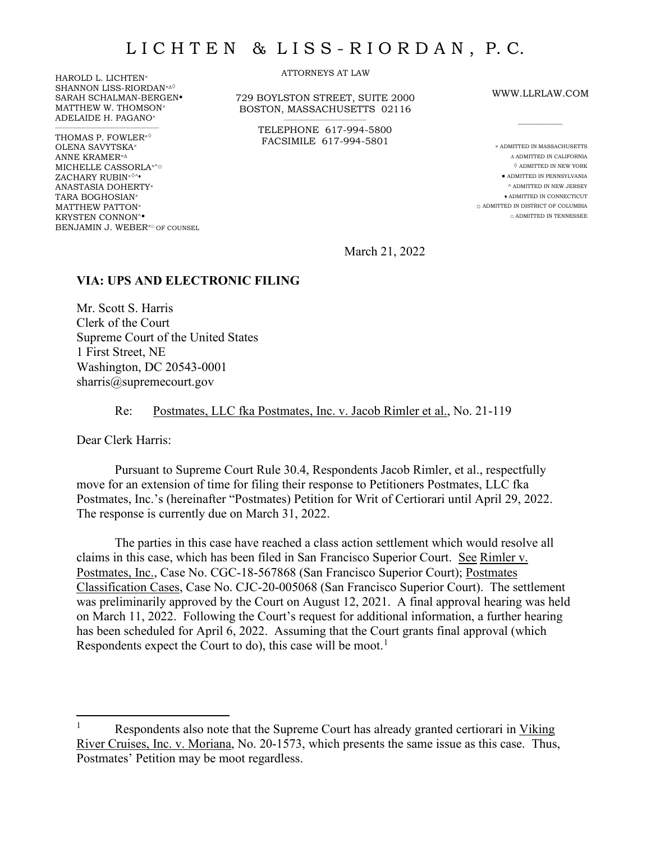HAROLD L. LICHTEN× SHANNON LISS-RIORDAN<sup>×∆</sup> SARAH SCHALMAN-BERGEN MATTHEW W. THOMSON× ADELAIDE H. PAGANO×

\_\_\_\_\_\_\_\_\_\_\_\_\_\_\_\_\_\_\_\_\_\_\_\_\_\_\_\_\_\_\_\_\_\_\_\_\_\_\_

THOMAS P. FOWLER× OLENA SAVYTSKA× ANNE KRAMER×∆ MICHELLE CASSORLA×^☼ ZACHARY RUBIN×0^+ ANASTASIA DOHERTY× TARA BOGHOSIAN× MATTHEW PATTON× KRYSTEN CONNON^ BENJAMIN J. WEBER<sup>×□</sup> OF COUNSEL ATTORNEYS AT LAW

729 BOYLSTON STREET, SUITE 2000 BOSTON, MASSACHUSETTS 02116 \_\_\_\_\_\_\_\_\_\_\_\_\_\_\_\_\_\_\_\_\_\_\_\_\_\_\_\_\_\_\_

> TELEPHONE 617-994-5800 FACSIMILE 617-994-5801

WWW.LLRLAW.COM

 $\overline{\phantom{a}}$ 

× ADMITTED IN MASSACHUSETTS  $\Delta$  ADMITTED IN CALIFORNIA  $\diamond$  ADMITTED IN NEW YORK ADMITTED IN PENNSYLVANIA ^ ADMITTED IN NEW JERSEY ♦ ADMITTED IN CONNECTICUT ☼ ADMITTED IN DISTRICT OF COLUMBIA □ ADMITTED IN TENNESSEE

March 21, 2022

## **VIA: UPS AND ELECTRONIC FILING**

Mr. Scott S. Harris Clerk of the Court Supreme Court of the United States 1 First Street, NE Washington, DC 20543-0001 sharris@supremecourt.gov

Re: Postmates, LLC fka Postmates, Inc. v. Jacob Rimler et al., No. 21-119

Dear Clerk Harris:

Pursuant to Supreme Court Rule 30.4, Respondents Jacob Rimler, et al., respectfully move for an extension of time for filing their response to Petitioners Postmates, LLC fka Postmates, Inc.'s (hereinafter "Postmates) Petition for Writ of Certiorari until April 29, 2022. The response is currently due on March 31, 2022.

The parties in this case have reached a class action settlement which would resolve all claims in this case, which has been filed in San Francisco Superior Court. See Rimler v. Postmates, Inc., Case No. CGC-18-567868 (San Francisco Superior Court); Postmates Classification Cases, Case No. CJC-20-005068 (San Francisco Superior Court). The settlement was preliminarily approved by the Court on August 12, 2021. A final approval hearing was held on March 11, 2022. Following the Court's request for additional information, a further hearing has been scheduled for April 6, 2022. Assuming that the Court grants final approval (which Respondents expect the Court to do), this case will be moot.<sup>[1](#page-0-0)</sup>

<span id="page-0-0"></span><sup>&</sup>lt;sup>1</sup> Respondents also note that the Supreme Court has already granted certiorari in Viking River Cruises, Inc. v. Moriana, No. 20-1573, which presents the same issue as this case. Thus, Postmates' Petition may be moot regardless.